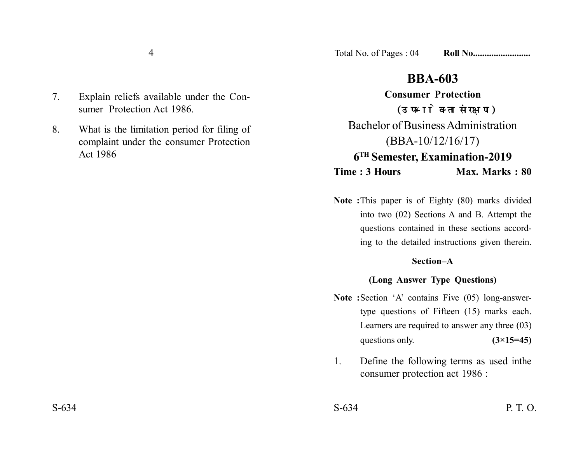4

7. Explain reliefs available under the Consumer Protection Act 1986.

8. What is the limitation period for filing of complaint under the consumer Protection Act 1986

# **BBA-603**

**Consumer Protection** (उपभोक्ता संरक्षण) Bachelor of Business Administration (BBA-10/12/16/17) **6TH Semester, Examination-2019 Time : 3 Hours Max. Marks : 80** 

**Note :**This paper is of Eighty (80) marks divided into two (02) Sections A and B. Attempt the questions contained in these sections according to the detailed instructions given therein.

### **Section–A**

## **(Long Answer Type Questions)**

- **Note :**Section 'A' contains Five (05) long-answertype questions of Fifteen (15) marks each. Learners are required to answer any three (03) questions only.  $(3\times15=45)$
- 1. Define the following terms as used inthe consumer protection act 1986 :